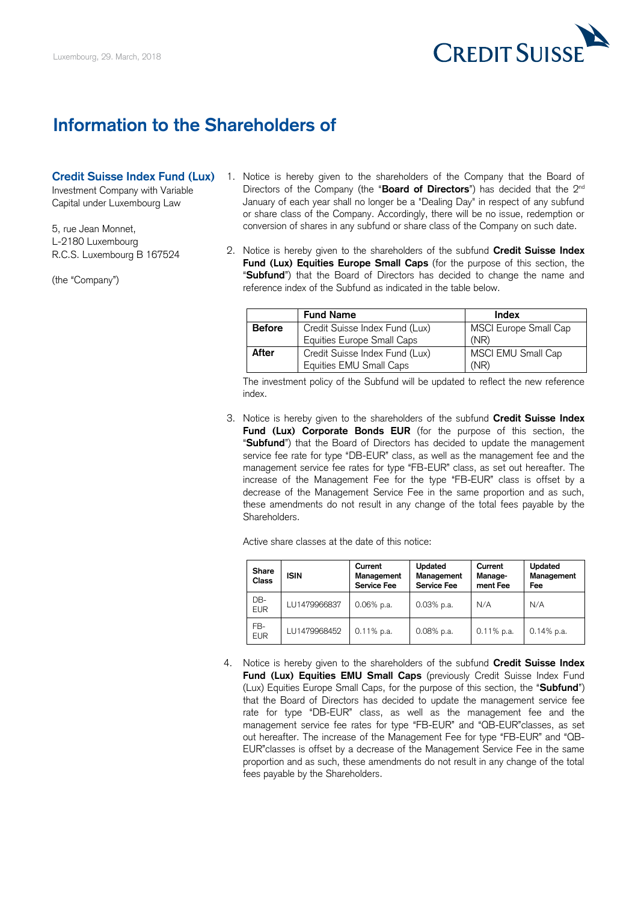

## **Information to the Shareholders of**

- **Credit Suisse Index Fund (Lux)** 1. Notice is hereby given to the shareholders of the Company that the Board of Investment Company with Variable **Directors of the Company (the "Board of Directors**") has decided that the 2<sup>nd</sup> Capital under Luxembourg Law January of each year shall no longer be a "Dealing Day" in respect of any subfund or share class of the Company. Accordingly, there will be no issue, redemption or 5, rue Jean Monnet, conversion of shares in any subfund or share class of the Company on such date.
- L-2180 Luxembourg 2. Notice is hereby given to the shareholders of the subfund **Credit Suisse Index** R.C.S. Luxembourg B 167524 Fund (Lux) Equities Europe Small Caps (for the purpose of this section, the (the "Company") **Example 19 was see** the name and "**Subfund**") that the Board of Directors has decided to change the name and reference index of the Subfund as indicated in the table below. reference index of the Subfund as indicated in the table below.

|               | <b>Fund Name</b>               | Index                 |
|---------------|--------------------------------|-----------------------|
| <b>Before</b> | Credit Suisse Index Fund (Lux) | MSCI Europe Small Cap |
|               | Equities Europe Small Caps     | (NR)                  |
| After         | Credit Suisse Index Fund (Lux) | MSCI EMU Small Cap    |
|               | Equities EMU Small Caps        | (NR)                  |

 The investment policy of the Subfund will be updated to reflect the new reference index.

 3. Notice is hereby given to the shareholders of the subfund **Credit Suisse Index Fund (Lux) Corporate Bonds EUR** (for the purpose of this section, the "**Subfund**") that the Board of Directors has decided to update the management service fee rate for type "DB-EUR" class, as well as the management fee and the management service fee rates for type "FB-EUR" class, as set out hereafter. The increase of the Management Fee for the type "FB-EUR" class is offset by a decrease of the Management Service Fee in the same proportion and as such, these amendments do not result in any change of the total fees payable by the Shareholders.

Active share classes at the date of this notice:

| Share<br>Class    | <b>ISIN</b>  | Current<br>Management<br><b>Service Fee</b> | Updated<br>Management<br><b>Service Fee</b> | Current<br>Manage-<br>ment Fee | Updated<br>Management<br>Fee |
|-------------------|--------------|---------------------------------------------|---------------------------------------------|--------------------------------|------------------------------|
| DB-<br><b>EUR</b> | LU1479966837 | $0.06\%$ p.a.                               | $0.03%$ p.a.                                | N/A                            | N/A                          |
| FB-<br><b>EUR</b> | LU1479968452 | $0.11\%$ p.a.                               | $0.08\%$ p.a.                               | $0.11\%$ p.a.                  | $0.14\%$ p.a.                |

 4. Notice is hereby given to the shareholders of the subfund **Credit Suisse Index**  Fund (Lux) Equities EMU Small Caps (previously Credit Suisse Index Fund (Lux) Equities Europe Small Caps, for the purpose of this section, the "**Subfund**") that the Board of Directors has decided to update the management service fee rate for type "DB-EUR" class, as well as the management fee and the management service fee rates for type "FB-EUR" and "QB-EUR"classes, as set out hereafter. The increase of the Management Fee for type "FB-EUR" and "QB- EUR"classes is offset by a decrease of the Management Service Fee in the same proportion and as such, these amendments do not result in any change of the total fees payable by the Shareholders.